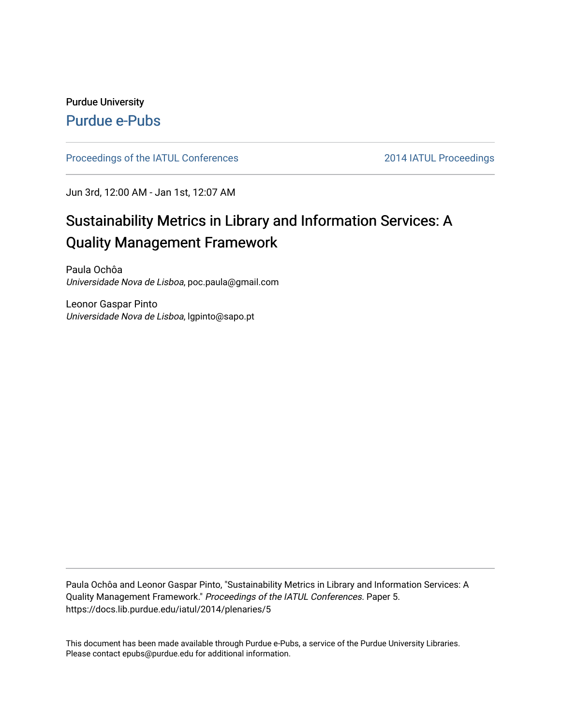# Purdue University [Purdue e-Pubs](https://docs.lib.purdue.edu/)

[Proceedings of the IATUL Conferences](https://docs.lib.purdue.edu/iatul) 2014 IATUL Proceedings

Jun 3rd, 12:00 AM - Jan 1st, 12:07 AM

# Sustainability Metrics in Library and Information Services: A Quality Management Framework

Paula Ochôa Universidade Nova de Lisboa, poc.paula@gmail.com

Leonor Gaspar Pinto Universidade Nova de Lisboa, lgpinto@sapo.pt

Paula Ochôa and Leonor Gaspar Pinto, "Sustainability Metrics in Library and Information Services: A Quality Management Framework." Proceedings of the IATUL Conferences. Paper 5. https://docs.lib.purdue.edu/iatul/2014/plenaries/5

This document has been made available through Purdue e-Pubs, a service of the Purdue University Libraries. Please contact epubs@purdue.edu for additional information.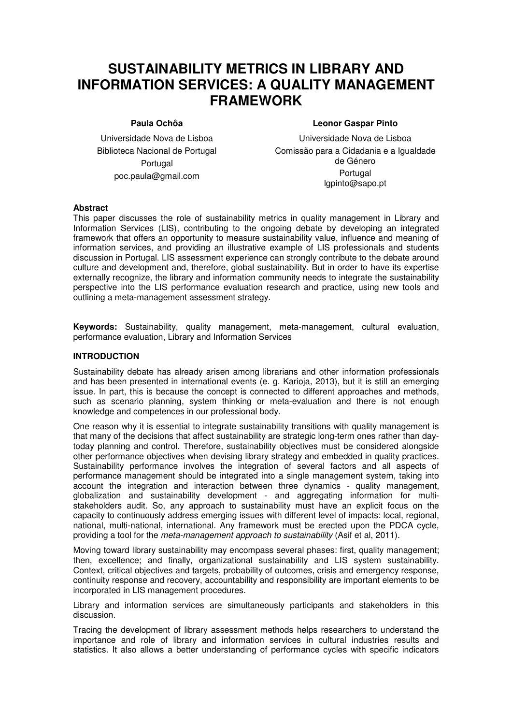# **SUSTAINABILITY METRICS IN LIBRARY AND INFORMATION SERVICES: A QUALITY MANAGEMENT FRAMEWORK**

#### **Paula Ochôa**

**Leonor Gaspar Pinto** 

Universidade Nova de Lisboa Biblioteca Nacional de Portugal Portugal poc.paula@gmail.com

Universidade Nova de Lisboa Comissão para a Cidadania e a Igualdade de Género Portugal lgpinto@sapo.pt

#### **Abstract**

This paper discusses the role of sustainability metrics in quality management in Library and Information Services (LIS), contributing to the ongoing debate by developing an integrated framework that offers an opportunity to measure sustainability value, influence and meaning of information services, and providing an illustrative example of LIS professionals and students discussion in Portugal. LIS assessment experience can strongly contribute to the debate around culture and development and, therefore, global sustainability. But in order to have its expertise externally recognize, the library and information community needs to integrate the sustainability perspective into the LIS performance evaluation research and practice, using new tools and outlining a meta-management assessment strategy.

**Keywords:** Sustainability, quality management, meta-management, cultural evaluation, performance evaluation, Library and Information Services

# **INTRODUCTION**

Sustainability debate has already arisen among librarians and other information professionals and has been presented in international events (e. g. Karioja, 2013), but it is still an emerging issue. In part, this is because the concept is connected to different approaches and methods, such as scenario planning, system thinking or meta-evaluation and there is not enough knowledge and competences in our professional body.

One reason why it is essential to integrate sustainability transitions with quality management is that many of the decisions that affect sustainability are strategic long-term ones rather than daytoday planning and control. Therefore, sustainability objectives must be considered alongside other performance objectives when devising library strategy and embedded in quality practices. Sustainability performance involves the integration of several factors and all aspects of performance management should be integrated into a single management system, taking into account the integration and interaction between three dynamics - quality management, globalization and sustainability development - and aggregating information for multistakeholders audit. So, any approach to sustainability must have an explicit focus on the capacity to continuously address emerging issues with different level of impacts: local, regional, national, multi-national, international. Any framework must be erected upon the PDCA cycle, providing a tool for the meta-management approach to sustainability (Asif et al, 2011).

Moving toward library sustainability may encompass several phases: first, quality management; then, excellence; and finally, organizational sustainability and LIS system sustainability. Context, critical objectives and targets, probability of outcomes, crisis and emergency response, continuity response and recovery, accountability and responsibility are important elements to be incorporated in LIS management procedures.

Library and information services are simultaneously participants and stakeholders in this discussion.

Tracing the development of library assessment methods helps researchers to understand the importance and role of library and information services in cultural industries results and statistics. It also allows a better understanding of performance cycles with specific indicators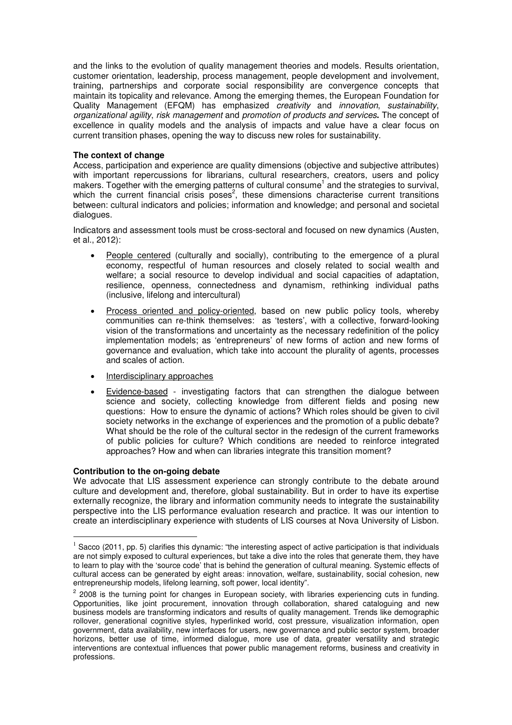and the links to the evolution of quality management theories and models. Results orientation, customer orientation, leadership, process management, people development and involvement, training, partnerships and corporate social responsibility are convergence concepts that maintain its topicality and relevance. Among the emerging themes, the European Foundation for Quality Management (EFQM) has emphasized creativity and innovation, sustainability, organizational agility, risk management and promotion of products and services**.** The concept of excellence in quality models and the analysis of impacts and value have a clear focus on current transition phases, opening the way to discuss new roles for sustainability.

### **The context of change**

Access, participation and experience are quality dimensions (objective and subjective attributes) with important repercussions for librarians, cultural researchers, creators, users and policy makers. Together with the emerging patterns of cultural consume<sup>1</sup> and the strategies to survival, which the current financial crisis poses<sup>2</sup>, these dimensions characterise current transitions between: cultural indicators and policies; information and knowledge; and personal and societal dialogues.

Indicators and assessment tools must be cross-sectoral and focused on new dynamics (Austen, et al., 2012):

- People centered (culturally and socially), contributing to the emergence of a plural economy, respectful of human resources and closely related to social wealth and welfare; a social resource to develop individual and social capacities of adaptation, resilience, openness, connectedness and dynamism, rethinking individual paths (inclusive, lifelong and intercultural)
- Process oriented and policy-oriented, based on new public policy tools, whereby communities can re-think themselves: as 'testers', with a collective, forward-looking vision of the transformations and uncertainty as the necessary redefinition of the policy implementation models; as 'entrepreneurs' of new forms of action and new forms of governance and evaluation, which take into account the plurality of agents, processes and scales of action.
- Interdisciplinary approaches
- Evidence-based investigating factors that can strengthen the dialogue between science and society, collecting knowledge from different fields and posing new questions: How to ensure the dynamic of actions? Which roles should be given to civil society networks in the exchange of experiences and the promotion of a public debate? What should be the role of the cultural sector in the redesign of the current frameworks of public policies for culture? Which conditions are needed to reinforce integrated approaches? How and when can libraries integrate this transition moment?

#### **Contribution to the on-going debate**

 $\overline{a}$ 

We advocate that LIS assessment experience can strongly contribute to the debate around culture and development and, therefore, global sustainability. But in order to have its expertise externally recognize, the library and information community needs to integrate the sustainability perspective into the LIS performance evaluation research and practice. It was our intention to create an interdisciplinary experience with students of LIS courses at Nova University of Lisbon.

 $1$  Sacco (2011, pp. 5) clarifies this dynamic: "the interesting aspect of active participation is that individuals are not simply exposed to cultural experiences, but take a dive into the roles that generate them, they have to learn to play with the 'source code' that is behind the generation of cultural meaning. Systemic effects of cultural access can be generated by eight areas: innovation, welfare, sustainability, social cohesion, new entrepreneurship models, lifelong learning, soft power, local identity".

<sup>&</sup>lt;sup>2</sup> 2008 is the turning point for changes in European society, with libraries experiencing cuts in funding. Opportunities, like joint procurement, innovation through collaboration, shared cataloguing and new business models are transforming indicators and results of quality management. Trends like demographic rollover, generational cognitive styles, hyperlinked world, cost pressure, visualization information, open government, data availability, new interfaces for users, new governance and public sector system, broader horizons, better use of time, informed dialogue, more use of data, greater versatility and strategic interventions are contextual influences that power public management reforms, business and creativity in professions.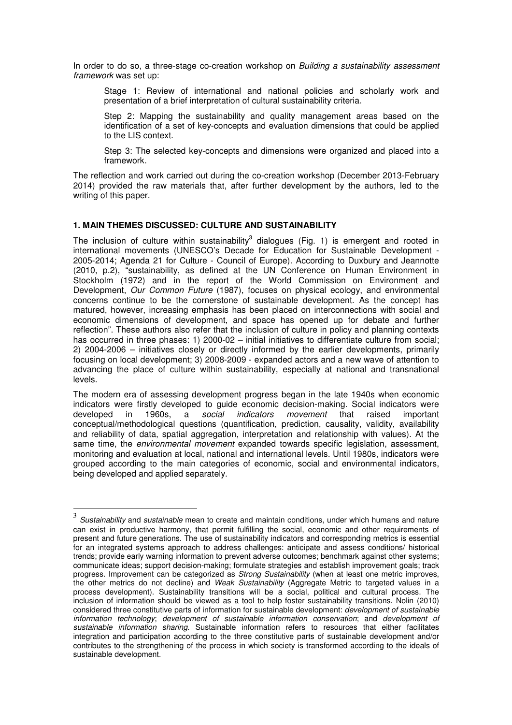In order to do so, a three-stage co-creation workshop on Building a sustainability assessment framework was set up:

Stage 1: Review of international and national policies and scholarly work and presentation of a brief interpretation of cultural sustainability criteria.

Step 2: Mapping the sustainability and quality management areas based on the identification of a set of key-concepts and evaluation dimensions that could be applied to the LIS context.

Step 3: The selected key-concepts and dimensions were organized and placed into a framework.

The reflection and work carried out during the co-creation workshop (December 2013-February 2014) provided the raw materials that, after further development by the authors, led to the writing of this paper.

#### **1. MAIN THEMES DISCUSSED: CULTURE AND SUSTAINABILITY**

The inclusion of culture within sustainability<sup>3</sup> dialogues (Fig. 1) is emergent and rooted in international movements (UNESCO's Decade for Education for Sustainable Development - 2005-2014; Agenda 21 for Culture - Council of Europe). According to Duxbury and Jeannotte (2010, p.2), "sustainability, as defined at the UN Conference on Human Environment in Stockholm (1972) and in the report of the World Commission on Environment and Development, *Our Common Future* (1987), focuses on physical ecology, and environmental concerns continue to be the cornerstone of sustainable development. As the concept has matured, however, increasing emphasis has been placed on interconnections with social and economic dimensions of development, and space has opened up for debate and further reflection". These authors also refer that the inclusion of culture in policy and planning contexts has occurred in three phases: 1) 2000-02 – initial initiatives to differentiate culture from social; 2) 2004-2006 – initiatives closely or directly informed by the earlier developments, primarily focusing on local development; 3) 2008-2009 - expanded actors and a new wave of attention to advancing the place of culture within sustainability, especially at national and transnational levels.

The modern era of assessing development progress began in the late 1940s when economic indicators were firstly developed to guide economic decision-making. Social indicators were developed in 1960s, a *social indicators movement* that raised important conceptual/methodological questions (quantification, prediction, causality, validity, availability and reliability of data, spatial aggregation, interpretation and relationship with values). At the same time, the *environmental movement* expanded towards specific legislation, assessment, monitoring and evaluation at local, national and international levels. Until 1980s, indicators were grouped according to the main categories of economic, social and environmental indicators, being developed and applied separately.

 3 Sustainability and sustainable mean to create and maintain conditions, under which humans and nature can exist in productive harmony, that permit fulfilling the social, economic and other requirements of present and future generations. The use of sustainability indicators and corresponding metrics is essential for an integrated systems approach to address challenges: anticipate and assess conditions/ historical trends; provide early warning information to prevent adverse outcomes; benchmark against other systems; communicate ideas; support decision-making; formulate strategies and establish improvement goals; track progress. Improvement can be categorized as *Strong Sustainability* (when at least one metric improves, the other metrics do not decline) and Weak Sustainability (Aggregate Metric to targeted values in a process development). Sustainability transitions will be a social, political and cultural process. The inclusion of information should be viewed as a tool to help foster sustainability transitions. Nolin (2010) considered three constitutive parts of information for sustainable development: *development of sustainable* information technology; development of sustainable information conservation; and development of sustainable information sharing. Sustainable information refers to resources that either facilitates integration and participation according to the three constitutive parts of sustainable development and/or contributes to the strengthening of the process in which society is transformed according to the ideals of sustainable development.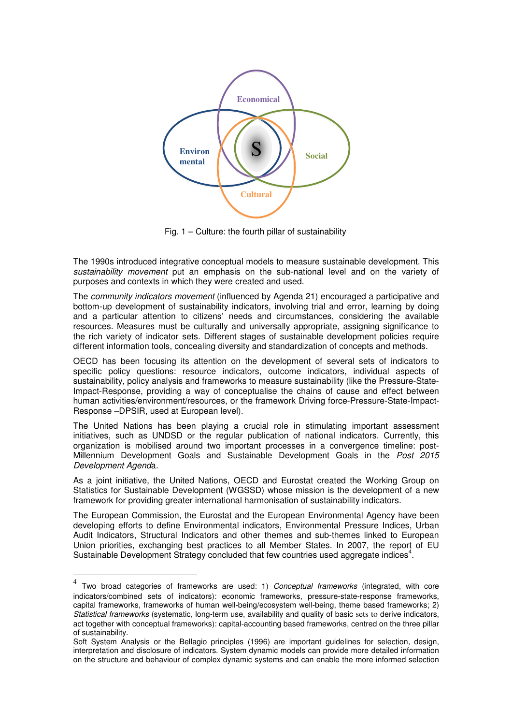

Fig. 1 – Culture: the fourth pillar of sustainability

The 1990s introduced integrative conceptual models to measure sustainable development. This sustainability movement put an emphasis on the sub-national level and on the variety of purposes and contexts in which they were created and used.

The community indicators movement (influenced by Agenda 21) encouraged a participative and bottom-up development of sustainability indicators, involving trial and error, learning by doing and a particular attention to citizens' needs and circumstances, considering the available resources. Measures must be culturally and universally appropriate, assigning significance to the rich variety of indicator sets. Different stages of sustainable development policies require different information tools, concealing diversity and standardization of concepts and methods.

OECD has been focusing its attention on the development of several sets of indicators to specific policy questions: resource indicators, outcome indicators, individual aspects of sustainability, policy analysis and frameworks to measure sustainability (like the Pressure-State-Impact-Response, providing a way of conceptualise the chains of cause and effect between human activities/environment/resources, or the framework Driving force-Pressure-State-Impact-Response –DPSIR, used at European level).

The United Nations has been playing a crucial role in stimulating important assessment initiatives, such as UNDSD or the regular publication of national indicators. Currently, this organization is mobilised around two important processes in a convergence timeline: post-Millennium Development Goals and Sustainable Development Goals in the Post 2015 Development Agenda.

As a joint initiative, the United Nations, OECD and Eurostat created the Working Group on Statistics for Sustainable Development (WGSSD) whose mission is the development of a new framework for providing greater international harmonisation of sustainability indicators.

The European Commission, the Eurostat and the European Environmental Agency have been developing efforts to define Environmental indicators, Environmental Pressure Indices, Urban Audit Indicators, Structural Indicators and other themes and sub-themes linked to European Union priorities, exchanging best practices to all Member States. In 2007, the report of EU Sustainable Development Strategy concluded that few countries used aggregate indices<sup>4</sup>.

 4 Two broad categories of frameworks are used: 1) Conceptual frameworks (integrated, with core indicators/combined sets of indicators): economic frameworks, pressure-state-response frameworks, capital frameworks, frameworks of human well-being/ecosystem well-being, theme based frameworks; 2) Statistical frameworks (systematic, long-term use, availability and quality of basic sets to derive indicators, act together with conceptual frameworks): capital-accounting based frameworks, centred on the three pillar of sustainability.

Soft System Analysis or the Bellagio principles (1996) are important guidelines for selection, design, interpretation and disclosure of indicators. System dynamic models can provide more detailed information on the structure and behaviour of complex dynamic systems and can enable the more informed selection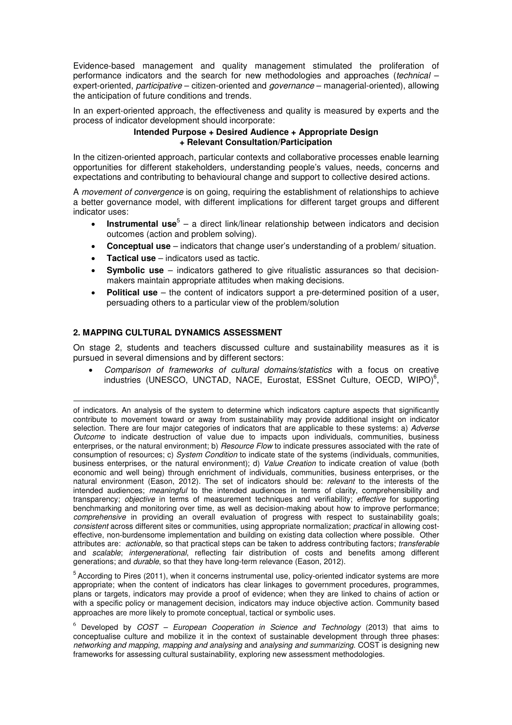Evidence-based management and quality management stimulated the proliferation of performance indicators and the search for new methodologies and approaches (technical – expert-oriented, participative – citizen-oriented and governance – managerial-oriented), allowing the anticipation of future conditions and trends.

In an expert-oriented approach, the effectiveness and quality is measured by experts and the process of indicator development should incorporate:

#### **Intended Purpose + Desired Audience + Appropriate Design + Relevant Consultation/Participation**

In the citizen-oriented approach, particular contexts and collaborative processes enable learning opportunities for different stakeholders, understanding people's values, needs, concerns and expectations and contributing to behavioural change and support to collective desired actions.

A *movement of convergence* is on going, requiring the establishment of relationships to achieve a better governance model, with different implications for different target groups and different indicator uses:

- **Instrumental use**<sup>5</sup> a direct link/linear relationship between indicators and decision outcomes (action and problem solving).
- **Conceptual use** indicators that change user's understanding of a problem/ situation.
- **Tactical use** indicators used as tactic.
- **Symbolic use** indicators gathered to give ritualistic assurances so that decisionmakers maintain appropriate attitudes when making decisions.
- **Political use** the content of indicators support a pre-determined position of a user, persuading others to a particular view of the problem/solution

# **2. MAPPING CULTURAL DYNAMICS ASSESSMENT**

On stage 2, students and teachers discussed culture and sustainability measures as it is pursued in several dimensions and by different sectors:

• Comparison of frameworks of cultural domains/statistics with a focus on creative industries (UNESCO, UNCTAD, NACE, Eurostat, ESSnet Culture, OECD, WIPO)<sup>6</sup>,

of indicators. An analysis of the system to determine which indicators capture aspects that significantly contribute to movement toward or away from sustainability may provide additional insight on indicator selection. There are four major categories of indicators that are applicable to these systems: a) Adverse Outcome to indicate destruction of value due to impacts upon individuals, communities, business enterprises, or the natural environment; b) Resource Flow to indicate pressures associated with the rate of consumption of resources; c) System Condition to indicate state of the systems (individuals, communities, business enterprises, or the natural environment); d) Value Creation to indicate creation of value (both economic and well being) through enrichment of individuals, communities, business enterprises, or the natural environment (Eason, 2012). The set of indicators should be: relevant to the interests of the intended audiences; meaningful to the intended audiences in terms of clarity, comprehensibility and transparency; objective in terms of measurement techniques and verifiability; effective for supporting benchmarking and monitoring over time, as well as decision-making about how to improve performance; comprehensive in providing an overall evaluation of progress with respect to sustainability goals; consistent across different sites or communities, using appropriate normalization; practical in allowing costeffective, non-burdensome implementation and building on existing data collection where possible. Other attributes are: actionable, so that practical steps can be taken to address contributing factors; transferable and scalable; intergenerational, reflecting fair distribution of costs and benefits among different generations; and durable, so that they have long-term relevance (Eason, 2012).

 $5$  According to Pires (2011), when it concerns instrumental use, policy-oriented indicator systems are more appropriate; when the content of indicators has clear linkages to government procedures, programmes, plans or targets, indicators may provide a proof of evidence; when they are linked to chains of action or with a specific policy or management decision, indicators may induce objective action. Community based approaches are more likely to promote conceptual, tactical or symbolic uses.

 $6$  Developed by COST – European Cooperation in Science and Technology (2013) that aims to conceptualise culture and mobilize it in the context of sustainable development through three phases: networking and mapping, mapping and analysing and analysing and summarizing. COST is designing new frameworks for assessing cultural sustainability, exploring new assessment methodologies.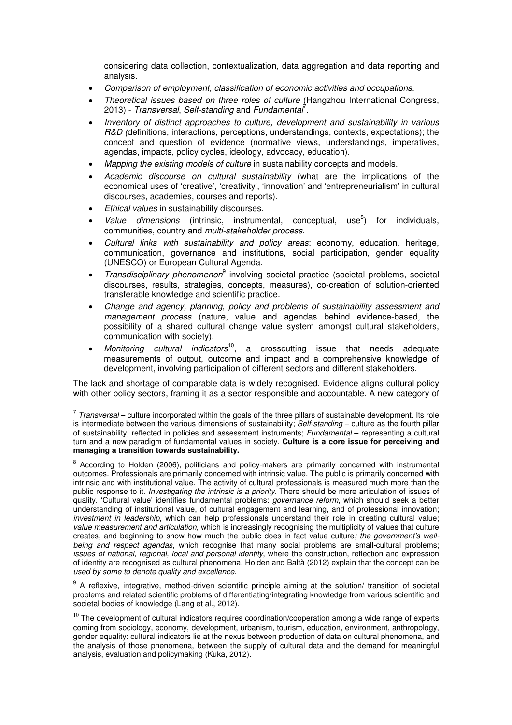considering data collection, contextualization, data aggregation and data reporting and analysis.

- Comparison of employment, classification of economic activities and occupations.
- Theoretical issues based on three roles of culture (Hangzhou International Congress, 2013) - Transversal, Self-standing and Fundamental<sup>?</sup>.
- Inventory of distinct approaches to culture, development and sustainability in various R&D (definitions, interactions, perceptions, understandings, contexts, expectations); the concept and question of evidence (normative views, understandings, imperatives, agendas, impacts, policy cycles, ideology, advocacy, education).
- Mapping the existing models of culture in sustainability concepts and models.
- Academic discourse on cultural sustainability (what are the implications of the economical uses of 'creative', 'creativity', 'innovation' and 'entrepreneurialism' in cultural discourses, academies, courses and reports).
- **Ethical values in sustainability discourses.**
- *Value dimensions* (intrinsic, instrumental, conceptual, use<sup>8</sup>) ) for individuals, communities, country and multi-stakeholder process.
- Cultural links with sustainability and policy areas: economy, education, heritage, communication, governance and institutions, social participation, gender equality (UNESCO) or European Cultural Agenda.
- Transdisciplinary phenomenon<sup>9</sup> involving societal practice (societal problems, societal discourses, results, strategies, concepts, measures), co-creation of solution-oriented transferable knowledge and scientific practice.
- Change and agency, planning, policy and problems of sustainability assessment and management process (nature, value and agendas behind evidence-based, the possibility of a shared cultural change value system amongst cultural stakeholders, communication with society).
- $\widetilde{M}$ onitoring cultural indicators<sup>10</sup>, a crosscutting issue that needs adequate measurements of output, outcome and impact and a comprehensive knowledge of development, involving participation of different sectors and different stakeholders.

The lack and shortage of comparable data is widely recognised. Evidence aligns cultural policy with other policy sectors, framing it as a sector responsible and accountable. A new category of

<sup>9</sup> A reflexive, integrative, method-driven scientific principle aiming at the solution/ transition of societal problems and related scientific problems of differentiating/integrating knowledge from various scientific and societal bodies of knowledge (Lang et al., 2012).

 $10$  The development of cultural indicators requires coordination/cooperation among a wide range of experts coming from sociology, economy, development, urbanism, tourism, education, environment, anthropology, gender equality: cultural indicators lie at the nexus between production of data on cultural phenomena, and the analysis of those phenomena, between the supply of cultural data and the demand for meaningful analysis, evaluation and policymaking (Kuka, 2012).

Transversal – culture incorporated within the goals of the three pillars of sustainable development. Its role is intermediate between the various dimensions of sustainability; Self-standing – culture as the fourth pillar of sustainability, reflected in policies and assessment instruments; Fundamental – representing a cultural turn and a new paradigm of fundamental values in society. **Culture is a core issue for perceiving and managing a transition towards sustainability.** 

<sup>&</sup>lt;sup>8</sup> According to Holden (2006), politicians and policy-makers are primarily concerned with instrumental outcomes. Professionals are primarily concerned with intrinsic value. The public is primarily concerned with intrinsic and with institutional value. The activity of cultural professionals is measured much more than the public response to it. Investigating the intrinsic is a priority. There should be more articulation of issues of quality. 'Cultural value' identifies fundamental problems: *governance reform*, which should seek a better understanding of institutional value, of cultural engagement and learning, and of professional innovation; investment in leadership, which can help professionals understand their role in creating cultural value; value measurement and articulation, which is increasingly recognising the multiplicity of values that culture creates, and beginning to show how much the public does in fact value culture; the government's wellbeing and respect agendas, which recognise that many social problems are small-cultural problems; issues of national, regional, local and personal identity, where the construction, reflection and expression of identity are recognised as cultural phenomena. Holden and Baltà (2012) explain that the concept can be used by some to denote quality and excellence.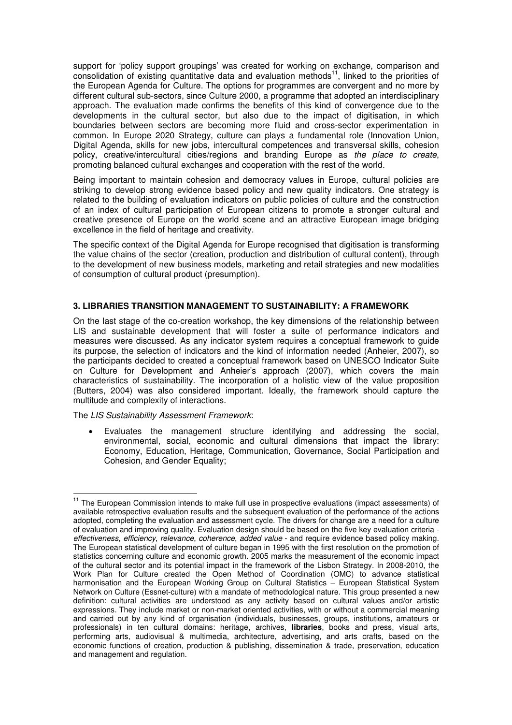support for 'policy support groupings' was created for working on exchange, comparison and consolidation of existing quantitative data and evaluation methods<sup>11</sup>, linked to the priorities of the European Agenda for Culture. The options for programmes are convergent and no more by different cultural sub-sectors, since Culture 2000, a programme that adopted an interdisciplinary approach. The evaluation made confirms the benefits of this kind of convergence due to the developments in the cultural sector, but also due to the impact of digitisation, in which boundaries between sectors are becoming more fluid and cross-sector experimentation in common. In Europe 2020 Strategy, culture can plays a fundamental role (Innovation Union, Digital Agenda, skills for new jobs, intercultural competences and transversal skills, cohesion policy, creative/intercultural cities/regions and branding Europe as the place to create, promoting balanced cultural exchanges and cooperation with the rest of the world.

Being important to maintain cohesion and democracy values in Europe, cultural policies are striking to develop strong evidence based policy and new quality indicators. One strategy is related to the building of evaluation indicators on public policies of culture and the construction of an index of cultural participation of European citizens to promote a stronger cultural and creative presence of Europe on the world scene and an attractive European image bridging excellence in the field of heritage and creativity.

The specific context of the Digital Agenda for Europe recognised that digitisation is transforming the value chains of the sector (creation, production and distribution of cultural content), through to the development of new business models, marketing and retail strategies and new modalities of consumption of cultural product (presumption).

# **3. LIBRARIES TRANSITION MANAGEMENT TO SUSTAINABILITY: A FRAMEWORK**

On the last stage of the co-creation workshop, the key dimensions of the relationship between LIS and sustainable development that will foster a suite of performance indicators and measures were discussed. As any indicator system requires a conceptual framework to guide its purpose, the selection of indicators and the kind of information needed (Anheier, 2007), so the participants decided to created a conceptual framework based on UNESCO Indicator Suite on Culture for Development and Anheier's approach (2007), which covers the main characteristics of sustainability. The incorporation of a holistic view of the value proposition (Butters, 2004) was also considered important. Ideally, the framework should capture the multitude and complexity of interactions.

The LIS Sustainability Assessment Framework:

• Evaluates the management structure identifying and addressing the social, environmental, social, economic and cultural dimensions that impact the library: Economy, Education, Heritage, Communication, Governance, Social Participation and Cohesion, and Gender Equality;

 $\overline{\phantom{a}}$ <sup>11</sup> The European Commission intends to make full use in prospective evaluations (impact assessments) of available retrospective evaluation results and the subsequent evaluation of the performance of the actions adopted, completing the evaluation and assessment cycle. The drivers for change are a need for a culture of evaluation and improving quality. Evaluation design should be based on the five key evaluation criteria effectiveness, efficiency, relevance, coherence, added value - and require evidence based policy making. The European statistical development of culture began in 1995 with the first resolution on the promotion of statistics concerning culture and economic growth. 2005 marks the measurement of the economic impact of the cultural sector and its potential impact in the framework of the Lisbon Strategy. In 2008-2010, the Work Plan for Culture created the Open Method of Coordination (OMC) to advance statistical harmonisation and the European Working Group on Cultural Statistics – European Statistical System Network on Culture (Essnet-culture) with a mandate of methodological nature. This group presented a new definition: cultural activities are understood as any activity based on cultural values and/or artistic expressions. They include market or non-market oriented activities, with or without a commercial meaning and carried out by any kind of organisation (individuals, businesses, groups, institutions, amateurs or professionals) in ten cultural domains: heritage, archives, **libraries**, books and press, visual arts, performing arts, audiovisual & multimedia, architecture, advertising, and arts crafts, based on the economic functions of creation, production & publishing, dissemination & trade, preservation, education and management and regulation.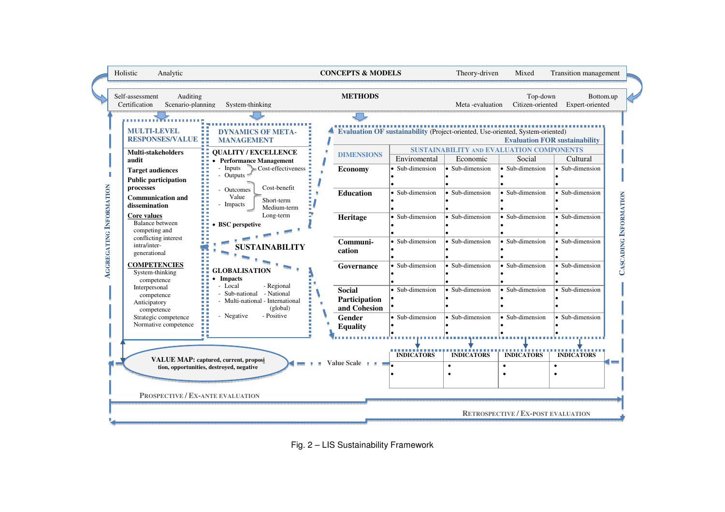| Holistic<br>Analytic<br>Auditing<br>Self-assessment<br>Scenario-planning<br>Certification                                                                                                                                                                                                                                                                                                                                                                                                                                                                                 | System-thinking                                                                                                                                                                                                                                                                                                                                                                                                                                                                                                                                                       | <b>CONCEPTS &amp; MODELS</b><br><b>METHODS</b>                                                                                                                                                 |                                                                                                                                                                        | Theory-driven<br>Meta-evaluation                                                                                                                                                                                                                                                                                                      | Mixed<br>Top-down<br>Citizen-oriented                                                                                                                                                 | Transition management<br>Bottom.up<br>Expert-oriented                                                                                                                                                    |                       |
|---------------------------------------------------------------------------------------------------------------------------------------------------------------------------------------------------------------------------------------------------------------------------------------------------------------------------------------------------------------------------------------------------------------------------------------------------------------------------------------------------------------------------------------------------------------------------|-----------------------------------------------------------------------------------------------------------------------------------------------------------------------------------------------------------------------------------------------------------------------------------------------------------------------------------------------------------------------------------------------------------------------------------------------------------------------------------------------------------------------------------------------------------------------|------------------------------------------------------------------------------------------------------------------------------------------------------------------------------------------------|------------------------------------------------------------------------------------------------------------------------------------------------------------------------|---------------------------------------------------------------------------------------------------------------------------------------------------------------------------------------------------------------------------------------------------------------------------------------------------------------------------------------|---------------------------------------------------------------------------------------------------------------------------------------------------------------------------------------|----------------------------------------------------------------------------------------------------------------------------------------------------------------------------------------------------------|-----------------------|
| <b>MULTI-LEVEL</b><br><b>RESPONSES/VALUE ::</b><br><b>Multi-stakeholders</b><br>audit<br><b>Target audiences</b><br><b>Public participation</b><br>INFORMATION<br>processes<br><b>Communication and</b><br>dissemination<br>Core values<br><b>Balance</b> between<br>competing and<br><b>AGGREGATING</b><br>conflicting interest<br>intra/inter-<br>generational<br><b>COMPETENCIES</b><br>System-thinking<br>competence<br>Interpersonal<br>competence<br>Anticipatory<br>competence<br>Strategic competence<br>Normative competence<br>PROSPECTIVE / EX-ANTE EVALUATION | <b>DYNAMICS OF META-</b><br><b>MANAGEMENT</b><br><b>OUALITY / EXCELLENCE</b><br><b>Performance Management</b><br>Inputs<br>Cost-effectiveness<br>- Outputs<br>Cost-benefit<br>- Outcomes<br>Value<br>Short-term<br>Impacts<br>Medium-term<br>Long-term<br><b>BSC</b> perspetive<br>SUSTAINABILITY<br><b>GLOBALISATION</b><br><b>Impacts</b><br>- Local<br>- Regional<br>Sub-national - National<br>Multi-national - International<br>(global)<br>- Positive<br>- Negative<br><b>VALUE MAP: captured, current, proposi</b><br>tion, opportunities, destroyed, negative | <b>DIMENSIONS</b><br><b>Economy</b><br>Education<br>Heritage<br>Communi-<br>cation<br>Governance<br><b>Social</b><br>Participation<br>and Cohesion<br>Gender<br><b>Equality</b><br>Value Scale | Enviromental<br>· Sub-dimension<br>· Sub-dimension<br>· Sub-dimension<br>· Sub-dimension<br>• Sub-dimension<br>· Sub-dimension<br>• Sub-dimension<br><b>INDICATORS</b> | Evaluation OF sustainability (Project-oriented, Use-oriented, System-oriented)<br><b>SUSTAINABILITY AND EVALUATION COMPONENTS</b><br>Economic<br>$\overline{\bullet}$ Sub-dimension<br>• Sub-dimension<br>• Sub-dimension<br>• Sub-dimension<br>• Sub-dimension<br>• Sub-dimension<br>Sub-dimension<br><b>INDICATORS</b><br>$\bullet$ | Social<br>$\bullet$ Sub-dimension<br>• Sub-dimension<br>• Sub-dimension<br>• Sub-dimension<br>• Sub-dimension<br>• Sub-dimension<br>• Sub-dimension<br><b>INDICATORS</b><br>$\bullet$ | <b>Evaluation FOR sustainability</b><br>Cultural<br>• Sub-dimension<br>· Sub-dimension<br>· Sub-dimension<br>· Sub-dimension<br>· Sub-dimension<br>· Sub-dimension<br>Sub-dimension<br><b>INDICATORS</b> | CASCADING INFORMATION |

Fig. 2 – LIS Sustainability Framework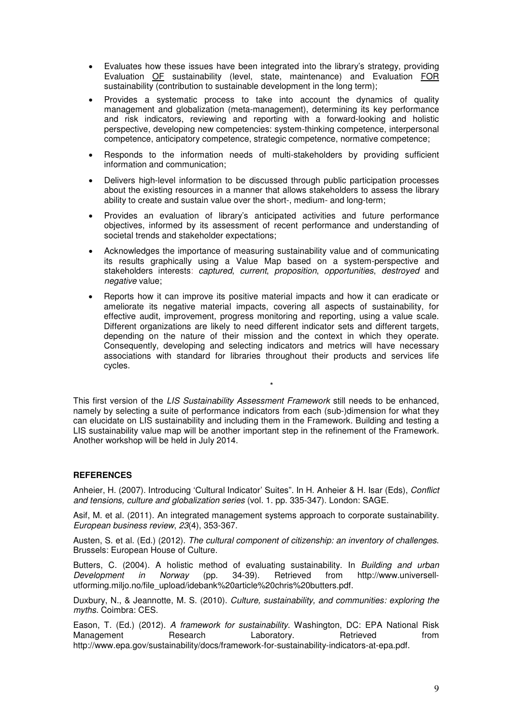- Evaluates how these issues have been integrated into the library's strategy, providing Evaluation OF sustainability (level, state, maintenance) and Evaluation FOR sustainability (contribution to sustainable development in the long term);
- Provides a systematic process to take into account the dynamics of quality management and globalization (meta-management), determining its key performance and risk indicators, reviewing and reporting with a forward-looking and holistic perspective, developing new competencies: system-thinking competence, interpersonal competence, anticipatory competence, strategic competence, normative competence;
- Responds to the information needs of multi-stakeholders by providing sufficient information and communication;
- Delivers high-level information to be discussed through public participation processes about the existing resources in a manner that allows stakeholders to assess the library ability to create and sustain value over the short-, medium- and long-term;
- Provides an evaluation of library's anticipated activities and future performance objectives, informed by its assessment of recent performance and understanding of societal trends and stakeholder expectations;
- Acknowledges the importance of measuring sustainability value and of communicating its results graphically using a Value Map based on a system-perspective and stakeholders interests: captured, current, proposition, opportunities, destroyed and negative value;
- Reports how it can improve its positive material impacts and how it can eradicate or ameliorate its negative material impacts, covering all aspects of sustainability, for effective audit, improvement, progress monitoring and reporting, using a value scale. Different organizations are likely to need different indicator sets and different targets, depending on the nature of their mission and the context in which they operate. Consequently, developing and selecting indicators and metrics will have necessary associations with standard for libraries throughout their products and services life cycles.

\*

This first version of the LIS Sustainability Assessment Framework still needs to be enhanced, namely by selecting a suite of performance indicators from each (sub-)dimension for what they can elucidate on LIS sustainability and including them in the Framework. Building and testing a LIS sustainability value map will be another important step in the refinement of the Framework. Another workshop will be held in July 2014.

# **REFERENCES**

Anheier, H. (2007). Introducing 'Cultural Indicator' Suites". In H. Anheier & H. Isar (Eds), Conflict and tensions, culture and globalization series (vol. 1. pp. 335-347). London: SAGE.

Asif, M. et al. (2011). An integrated management systems approach to corporate sustainability. European business review, 23(4), 353-367.

Austen, S. et al. (Ed.) (2012). The cultural component of citizenship: an inventory of challenges. Brussels: European House of Culture.

Butters, C. (2004). A holistic method of evaluating sustainability. In Building and urban Development in Norway (pp. 34-39). Retrieved from http://www.universellutforming.miljo.no/file\_upload/idebank%20article%20chris%20butters.pdf.

Duxbury, N., & Jeannotte, M. S. (2010). Culture, sustainability, and communities: exploring the myths. Coimbra: CES.

Eason, T. (Ed.) (2012). A framework for sustainability. Washington, DC: EPA National Risk Management **Research** Laboratory. Retrieved from http://www.epa.gov/sustainability/docs/framework-for-sustainability-indicators-at-epa.pdf.